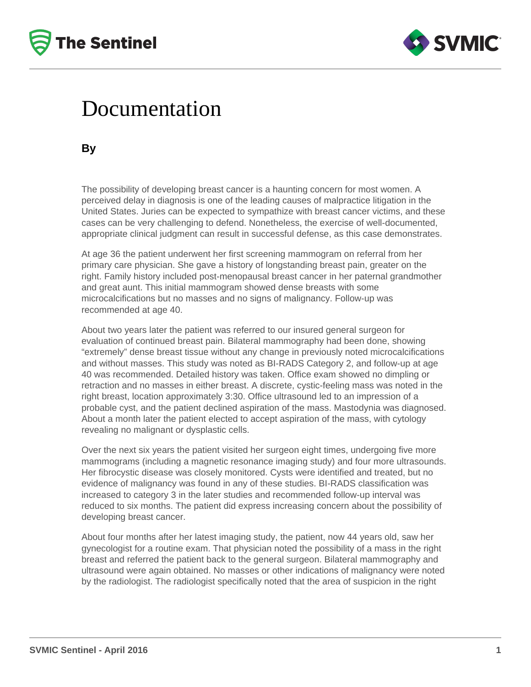



## Documentation

**By**

The possibility of developing breast cancer is a haunting concern for most women. A perceived delay in diagnosis is one of the leading causes of malpractice litigation in the United States. Juries can be expected to sympathize with breast cancer victims, and these cases can be very challenging to defend. Nonetheless, the exercise of well-documented, appropriate clinical judgment can result in successful defense, as this case demonstrates.

At age 36 the patient underwent her first screening mammogram on referral from her primary care physician. She gave a history of longstanding breast pain, greater on the right. Family history included post-menopausal breast cancer in her paternal grandmother and great aunt. This initial mammogram showed dense breasts with some microcalcifications but no masses and no signs of malignancy. Follow-up was recommended at age 40.

About two years later the patient was referred to our insured general surgeon for evaluation of continued breast pain. Bilateral mammography had been done, showing "extremely" dense breast tissue without any change in previously noted microcalcifications and without masses. This study was noted as BI-RADS Category 2, and follow-up at age 40 was recommended. Detailed history was taken. Office exam showed no dimpling or retraction and no masses in either breast. A discrete, cystic-feeling mass was noted in the right breast, location approximately 3:30. Office ultrasound led to an impression of a probable cyst, and the patient declined aspiration of the mass. Mastodynia was diagnosed. About a month later the patient elected to accept aspiration of the mass, with cytology revealing no malignant or dysplastic cells.

Over the next six years the patient visited her surgeon eight times, undergoing five more mammograms (including a magnetic resonance imaging study) and four more ultrasounds. Her fibrocystic disease was closely monitored. Cysts were identified and treated, but no evidence of malignancy was found in any of these studies. BI-RADS classification was increased to category 3 in the later studies and recommended follow-up interval was reduced to six months. The patient did express increasing concern about the possibility of developing breast cancer.

About four months after her latest imaging study, the patient, now 44 years old, saw her gynecologist for a routine exam. That physician noted the possibility of a mass in the right breast and referred the patient back to the general surgeon. Bilateral mammography and ultrasound were again obtained. No masses or other indications of malignancy were noted by the radiologist. The radiologist specifically noted that the area of suspicion in the right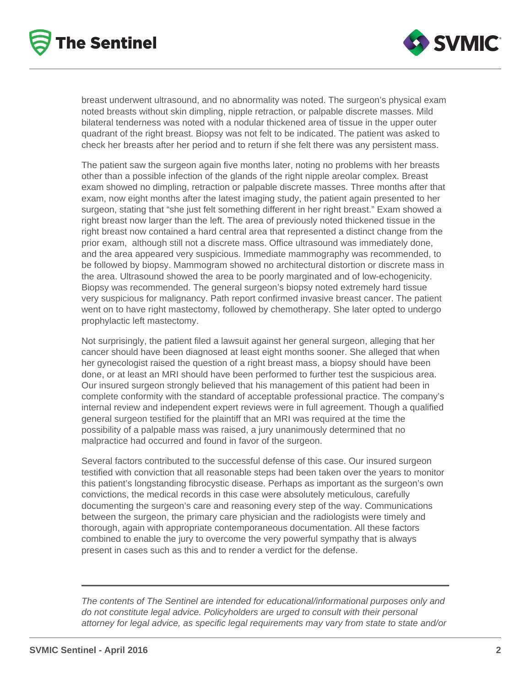



breast underwent ultrasound, and no abnormality was noted. The surgeon's physical exam noted breasts without skin dimpling, nipple retraction, or palpable discrete masses. Mild bilateral tenderness was noted with a nodular thickened area of tissue in the upper outer quadrant of the right breast. Biopsy was not felt to be indicated. The patient was asked to check her breasts after her period and to return if she felt there was any persistent mass.

The patient saw the surgeon again five months later, noting no problems with her breasts other than a possible infection of the glands of the right nipple areolar complex. Breast exam showed no dimpling, retraction or palpable discrete masses. Three months after that exam, now eight months after the latest imaging study, the patient again presented to her surgeon, stating that "she just felt something different in her right breast." Exam showed a right breast now larger than the left. The area of previously noted thickened tissue in the right breast now contained a hard central area that represented a distinct change from the prior exam, although still not a discrete mass. Office ultrasound was immediately done, and the area appeared very suspicious. Immediate mammography was recommended, to be followed by biopsy. Mammogram showed no architectural distortion or discrete mass in the area. Ultrasound showed the area to be poorly marginated and of low-echogenicity. Biopsy was recommended. The general surgeon's biopsy noted extremely hard tissue very suspicious for malignancy. Path report confirmed invasive breast cancer. The patient went on to have right mastectomy, followed by chemotherapy. She later opted to undergo prophylactic left mastectomy.

Not surprisingly, the patient filed a lawsuit against her general surgeon, alleging that her cancer should have been diagnosed at least eight months sooner. She alleged that when her gynecologist raised the question of a right breast mass, a biopsy should have been done, or at least an MRI should have been performed to further test the suspicious area. Our insured surgeon strongly believed that his management of this patient had been in complete conformity with the standard of acceptable professional practice. The company's internal review and independent expert reviews were in full agreement. Though a qualified general surgeon testified for the plaintiff that an MRI was required at the time the possibility of a palpable mass was raised, a jury unanimously determined that no malpractice had occurred and found in favor of the surgeon.

Several factors contributed to the successful defense of this case. Our insured surgeon testified with conviction that all reasonable steps had been taken over the years to monitor this patient's longstanding fibrocystic disease. Perhaps as important as the surgeon's own convictions, the medical records in this case were absolutely meticulous, carefully documenting the surgeon's care and reasoning every step of the way. Communications between the surgeon, the primary care physician and the radiologists were timely and thorough, again with appropriate contemporaneous documentation. All these factors combined to enable the jury to overcome the very powerful sympathy that is always present in cases such as this and to render a verdict for the defense.

The contents of The Sentinel are intended for educational/informational purposes only and do not constitute legal advice. Policyholders are urged to consult with their personal attorney for legal advice, as specific legal requirements may vary from state to state and/or